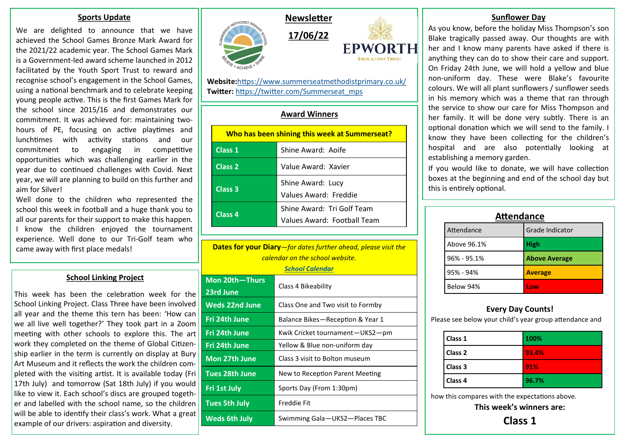#### **Sports Update**

We are delighted to announce that we have achieved the School Games Bronze Mark Award for the 2021/22 academic year. The School Games Mark is a Government-led award scheme launched in 2012 facilitated by the Youth Sport Trust to reward and recognise school's engagement in the School Games, using a national benchmark and to celebrate keeping young people active. This is the first Games Mark for the school since 2015/16 and demonstrates our commitment. It was achieved for: maintaining twohours of PE, focusing on active playtimes and lunchtimes with activity stations and our commitment to engaging in competitive opportunities which was challenging earlier in the year due to continued challenges with Covid. Next year, we will are planning to build on this further and aim for Silver!

Well done to the children who represented the school this week in football and a huge thank you to all our parents for their support to make this happen. I know the children enjoyed the tournament experience. Well done to our Tri-Golf team who came away with first place medals!

# **School Linking Project**

This week has been the celebration week for the School Linking Project. Class Three have been involved all year and the theme this tern has been: 'How can we all live well together?' They took part in a Zoom meeting with other schools to explore this. The art work they completed on the theme of Global Citizenship earlier in the term is currently on display at Bury Art Museum and it reflects the work the children completed with the visiting artist. It is available today (Fri 17th July) and tomorrow (Sat 18th July) if you would like to view it. Each school's discs are grouped together and labelled with the school name, so the children will be able to identify their class's work. What a great example of our drivers: aspiration and diversity.





**Website:**<https://www.summerseatmethodistprimary.co.uk/> **Twitter:** [https://twitter.com/Summerseat\\_mps](https://twitter.com/Summerseat_mps)

# **Award Winners**

| Who has been shining this week at Summerseat? |                                                           |  |
|-----------------------------------------------|-----------------------------------------------------------|--|
| Class 1                                       | Shine Award: Aoife                                        |  |
| Class 2                                       | Value Award: Xavier                                       |  |
| Class 3                                       | Shine Award: Lucy<br>Values Award: Freddie                |  |
| Class 4                                       | Shine Award: Tri Golf Team<br>Values Award: Football Team |  |

**Dates for your Diary***—for dates further ahead, please visit the calendar on the school website.*

*[School Calendar](https://www.summerseatmethodistprimary.co.uk/calendar/?calid=1&pid=3&viewid=1)*

| Mon 20th-Thurs<br>23rd June | Class 4 Bikeability               |
|-----------------------------|-----------------------------------|
| <b>Weds 22nd June</b>       | Class One and Two visit to Formby |
| Fri 24th June               | Balance Bikes-Reception & Year 1  |
| <b>Fri 24th June</b>        | Kwik Cricket tournament-UKS2-pm   |
| Fri 24th June               | Yellow & Blue non-uniform day     |
| Mon 27th June               | Class 3 visit to Bolton museum    |
| <b>Tues 28th June</b>       | New to Reception Parent Meeting   |
| Fri 1st July                | Sports Day (From 1:30pm)          |
| <b>Tues 5th July</b>        | Freddie Fit                       |
| <b>Weds 6th July</b>        | Swimming Gala-UKS2-Places TBC     |

## **Sunflower Day**

As you know, before the holiday Miss Thompson's son Blake tragically passed away. Our thoughts are with her and I know many parents have asked if there is anything they can do to show their care and support. On Friday 24th June, we will hold a yellow and blue non-uniform day. These were Blake's favourite colours. We will all plant sunflowers / sunflower seeds in his memory which was a theme that ran through the service to show our care for Miss Thompson and her family. It will be done very subtly. There is an optional donation which we will send to the family. I know they have been collecting for the children's hospital and are also potentially looking at establishing a memory garden.

If you would like to donate, we will have collection boxes at the beginning and end of the school day but this is entirely optional.

| <b>Attendance</b> |                      |  |
|-------------------|----------------------|--|
| Attendance        | Grade Indicator      |  |
| Above 96.1%       | <b>High</b>          |  |
| $96\% - 95.1\%$   | <b>Above Average</b> |  |
| 95% - 94%         | <b>Average</b>       |  |
| Below 94%         | l ow                 |  |

# **Every Day Counts!**

Please see below your child's year group attendance and

| Class 1            | 100%  |
|--------------------|-------|
| Class <sub>2</sub> | 93.4% |
| Class 3            | 91%   |
| Class <sub>4</sub> | 96.7% |

how this compares with the expectations above.

**This week's winners are:**

**Class 1**